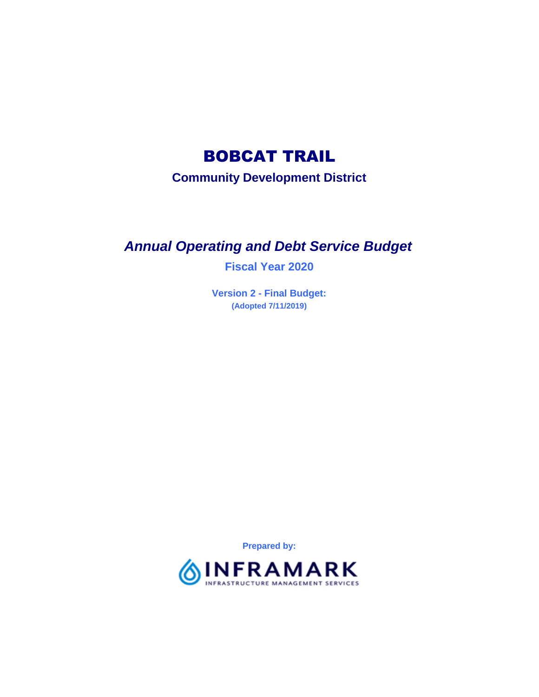# BOBCAT TRAIL

**Community Development District**

# *Annual Operating and Debt Service Budget*

**Fiscal Year 2020**

**Version 2 - Final Budget: (Adopted 7/11/2019)**

**Prepared by:**

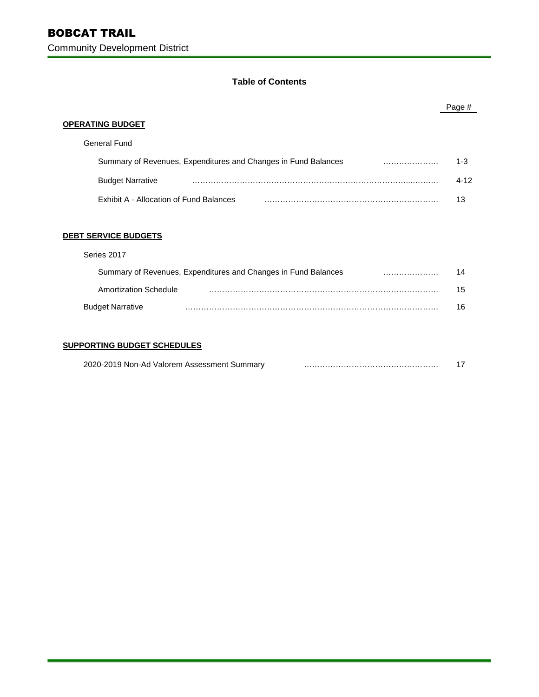## **Table of Contents**

|                                                                | Page #   |
|----------------------------------------------------------------|----------|
| <b>OPERATING BUDGET</b>                                        |          |
| General Fund                                                   |          |
| Summary of Revenues, Expenditures and Changes in Fund Balances | $1 - 3$  |
| <b>Budget Narrative</b>                                        | $4 - 12$ |
| Exhibit A - Allocation of Fund Balances                        | 13       |
|                                                                |          |
| <b>DEBT SERVICE BUDGETS</b>                                    |          |
| Series 2017                                                    |          |
| Summary of Revenues, Expenditures and Changes in Fund Balances | 14       |
|                                                                |          |

| Amortization Schedule   |  |
|-------------------------|--|
| <b>Budget Narrative</b> |  |

## **SUPPORTING BUDGET SCHEDULES**

| 2020-2019 Non-Ad Valorem Assessment Summary |  |
|---------------------------------------------|--|
|                                             |  |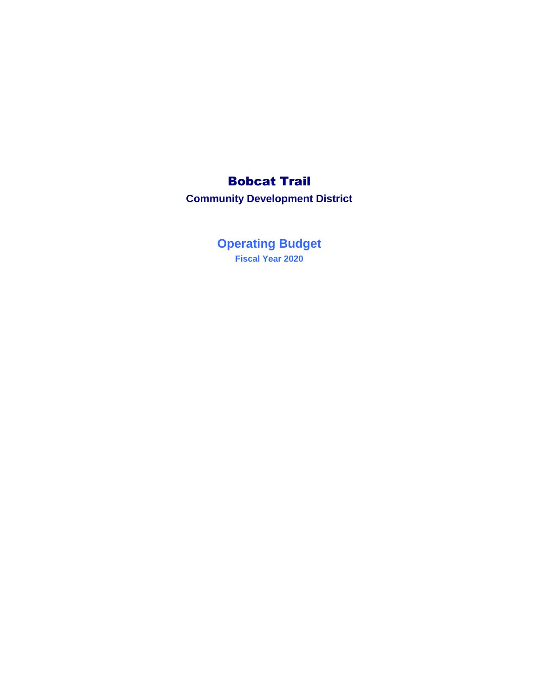# Bobcat Trail

**Community Development District**

**Fiscal Year 2020 Operating Budget**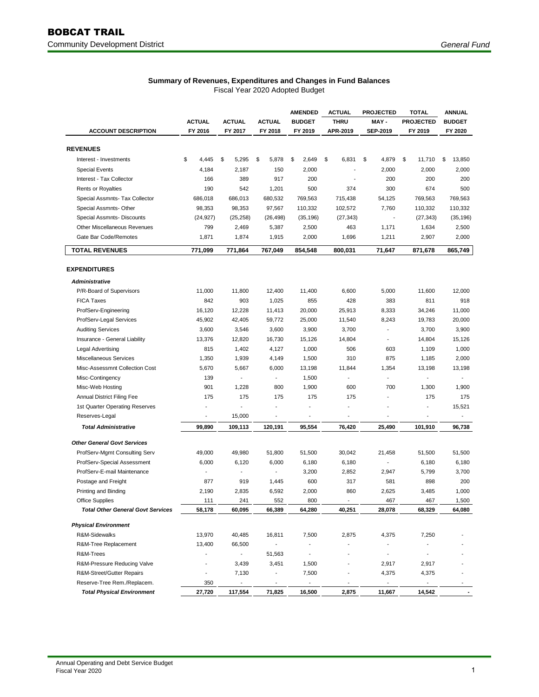|                                          |                          |                          |                          | <b>AMENDED</b>           | <b>ACTUAL</b>  | <b>PROJECTED</b>         | <b>TOTAL</b>                 | <b>ANNUAL</b>            |
|------------------------------------------|--------------------------|--------------------------|--------------------------|--------------------------|----------------|--------------------------|------------------------------|--------------------------|
|                                          | <b>ACTUAL</b>            | <b>ACTUAL</b>            | <b>ACTUAL</b>            | <b>BUDGET</b>            | <b>THRU</b>    | MAY-                     | <b>PROJECTED</b>             | <b>BUDGET</b>            |
| <b>ACCOUNT DESCRIPTION</b>               | FY 2016                  | FY 2017                  | FY 2018                  | FY 2019                  | APR-2019       | <b>SEP-2019</b>          | FY 2019                      | FY 2020                  |
|                                          |                          |                          |                          |                          |                |                          |                              |                          |
| <b>REVENUES</b>                          |                          |                          |                          |                          |                |                          |                              |                          |
| Interest - Investments                   | \$<br>4,445              | \$<br>5,295              | \$<br>5,878              | \$<br>2,649              | \$<br>6,831    | \$<br>4,879              | \$<br>11,710                 | 13,850<br>\$             |
| <b>Special Events</b>                    | 4,184                    | 2,187                    | 150                      | 2,000                    |                | 2,000                    | 2,000                        | 2,000                    |
| Interest - Tax Collector                 | 166                      | 389                      | 917                      | 200                      |                | 200                      | 200                          | 200                      |
| <b>Rents or Royalties</b>                | 190                      | 542                      | 1,201                    | 500                      | 374            | 300                      | 674                          | 500                      |
| Special Assmnts- Tax Collector           | 686,018                  | 686,013                  | 680,532                  | 769,563                  | 715,438        | 54,125                   | 769,563                      | 769,563                  |
| Special Assmnts- Other                   | 98,353                   | 98,353                   | 97,567                   | 110,332                  | 102,572        | 7,760                    | 110,332                      | 110,332                  |
| Special Assmnts- Discounts               | (24, 927)                | (25, 258)                | (26, 498)                | (35, 196)                | (27, 343)      | $\overline{\phantom{a}}$ | (27, 343)                    | (35, 196)                |
| Other Miscellaneous Revenues             | 799                      | 2,469                    | 5,387                    | 2,500                    | 463            | 1,171                    | 1,634                        | 2,500                    |
| Gate Bar Code/Remotes                    | 1,871                    | 1,874                    | 1,915                    | 2,000                    | 1,696          | 1,211                    | 2,907                        | 2,000                    |
| <b>TOTAL REVENUES</b>                    | 771,099                  | 771,864                  | 767,049                  | 854,548                  | 800,031        | 71,647                   | 871,678                      | 865,749                  |
| <b>EXPENDITURES</b>                      |                          |                          |                          |                          |                |                          |                              |                          |
|                                          |                          |                          |                          |                          |                |                          |                              |                          |
| Administrative                           |                          |                          |                          |                          |                |                          |                              |                          |
| P/R-Board of Supervisors                 | 11,000                   | 11,800                   | 12,400                   | 11,400                   | 6,600          | 5,000                    | 11,600                       | 12,000                   |
| <b>FICA Taxes</b>                        | 842                      | 903                      | 1,025                    | 855                      | 428            | 383                      | 811                          | 918                      |
| ProfServ-Engineering                     | 16,120                   | 12,228                   | 11,413                   | 20,000                   | 25,913         | 8,333                    | 34,246                       | 11,000                   |
| ProfServ-Legal Services                  | 45,902                   | 42,405                   | 59,772                   | 25,000                   | 11,540         | 8,243                    | 19,783                       | 20,000                   |
| <b>Auditing Services</b>                 | 3,600                    | 3,546                    | 3,600                    | 3,900                    | 3,700          | $\overline{\phantom{a}}$ | 3,700                        | 3,900                    |
| Insurance - General Liability            | 13,376                   | 12,820                   | 16,730                   | 15,126                   | 14,804         | $\overline{\phantom{a}}$ | 14,804                       | 15,126                   |
| Legal Advertising                        | 815                      | 1,402                    | 4,127                    | 1,000                    | 506            | 603                      | 1,109                        | 1,000                    |
| Miscellaneous Services                   | 1,350                    | 1,939                    | 4,149                    | 1,500                    | 310            | 875                      | 1,185                        | 2,000                    |
| Misc-Assessmnt Collection Cost           | 5,670                    | 5,667                    | 6,000                    | 13,198                   | 11,844         | 1,354                    | 13,198                       | 13,198                   |
| Misc-Contingency                         | 139                      |                          |                          | 1,500                    |                |                          | L.                           |                          |
| Misc-Web Hosting                         | 901                      | 1,228                    | 800                      | 1,900                    | 600            | 700                      | 1,300                        | 1,900                    |
| <b>Annual District Filing Fee</b>        | 175                      | 175                      | 175                      | 175                      | 175            |                          | 175                          | 175                      |
| 1st Quarter Operating Reserves           |                          |                          |                          |                          |                |                          | $\frac{1}{2}$                | 15,521                   |
| Reserves-Legal                           | $\overline{\phantom{m}}$ | 15,000                   | $\overline{a}$           | $\overline{\phantom{a}}$ | $\overline{a}$ | $\overline{\phantom{a}}$ | $\qquad \qquad \blacksquare$ | $\overline{\phantom{a}}$ |
| <b>Total Administrative</b>              | 99,890                   | 109,113                  | 120,191                  | 95,554                   | 76,420         | 25,490                   | 101,910                      | 96,738                   |
| <b>Other General Govt Services</b>       |                          |                          |                          |                          |                |                          |                              |                          |
| ProfServ-Mgmt Consulting Serv            | 49,000                   | 49,980                   | 51,800                   | 51,500                   | 30,042         | 21,458                   | 51,500                       | 51,500                   |
| ProfServ-Special Assessment              | 6,000                    | 6,120                    | 6,000                    | 6,180                    | 6,180          |                          | 6,180                        | 6,180                    |
| ProfServ-E-mail Maintenance              |                          |                          | $\blacksquare$           | 3,200                    | 2,852          | 2,947                    | 5,799                        | 3,700                    |
| Postage and Freight                      | 877                      | 919                      | 1,445                    | 600                      | 317            | 581                      | 898                          | 200                      |
| Printing and Binding                     | 2,190                    | 2,835                    | 6,592                    | 2,000                    | 860            | 2,625                    | 3,485                        | 1,000                    |
| <b>Office Supplies</b>                   | 111                      | 241                      | 552                      | 800                      |                | 467                      | 467                          | 1,500                    |
| <b>Total Other General Govt Services</b> | 58,178                   | 60,095                   | 66,389                   | 64,280                   | 40,251         | 28,078                   | 68,329                       | 64,080                   |
| <b>Physical Environment</b>              |                          |                          |                          |                          |                |                          |                              |                          |
| R&M-Sidewalks                            | 13,970                   | 40,485                   | 16,811                   | 7,500                    | 2,875          | 4,375                    | 7,250                        |                          |
| R&M-Tree Replacement                     | 13,400                   | 66,500                   | $\overline{\phantom{a}}$ | ٠                        |                |                          |                              |                          |
| R&M-Trees                                |                          |                          | 51,563                   | $\overline{\phantom{a}}$ |                | $\overline{\phantom{a}}$ |                              |                          |
| R&M-Pressure Reducing Valve              |                          | 3,439                    | 3,451                    | 1,500                    |                | 2,917                    | 2,917                        |                          |
| R&M-Street/Gutter Repairs                |                          | 7,130                    |                          | 7,500                    |                | 4,375                    | 4,375                        |                          |
| Reserve-Tree Rem./Replacem.              | 350                      | $\overline{\phantom{a}}$ | $\overline{a}$           | $\blacksquare$           |                | $\blacksquare$           | $\overline{\phantom{a}}$     |                          |
| <b>Total Physical Environment</b>        | 27,720                   | 117,554                  | 71,825                   | 16,500                   | 2,875          | 11,667                   | 14,542                       |                          |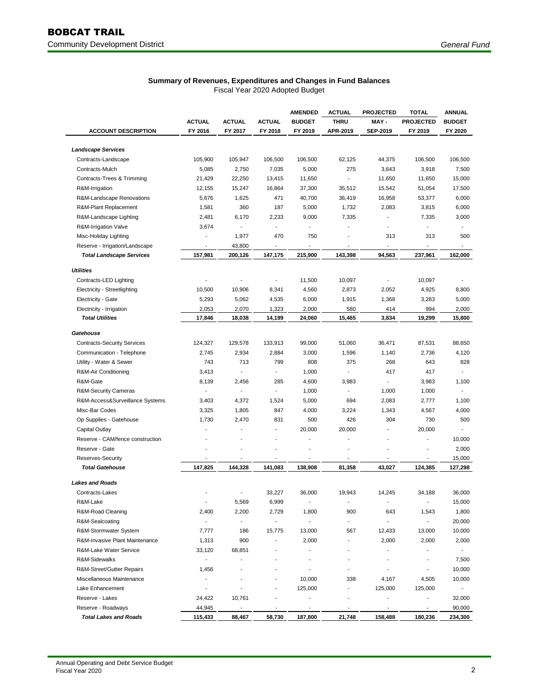|                                             |                                     |                          |                                 | <b>AMENDED</b>                  | <b>ACTUAL</b>            | <b>PROJECTED</b>         | <b>TOTAL</b>             | <b>ANNUAL</b>            |
|---------------------------------------------|-------------------------------------|--------------------------|---------------------------------|---------------------------------|--------------------------|--------------------------|--------------------------|--------------------------|
|                                             | <b>ACTUAL</b>                       | <b>ACTUAL</b>            | <b>ACTUAL</b>                   | <b>BUDGET</b>                   | <b>THRU</b>              | MAY -                    | <b>PROJECTED</b>         | <b>BUDGET</b>            |
| <b>ACCOUNT DESCRIPTION</b>                  | FY 2016                             | FY 2017                  | FY 2018                         | FY 2019                         | APR-2019                 | <b>SEP-2019</b>          | FY 2019                  | FY 2020                  |
|                                             |                                     |                          |                                 |                                 |                          |                          |                          |                          |
| <b>Landscape Services</b>                   | 105,900                             | 105,947                  | 106,500                         | 106,500                         | 62,125                   | 44,375                   | 106,500                  | 106,500                  |
| Contracts-Landscape<br>Contracts-Mulch      | 5,085                               |                          | 7,035                           | 5,000                           | 275                      |                          | 3,918                    | 7,500                    |
|                                             |                                     | 2,750                    |                                 |                                 |                          | 3,643                    |                          |                          |
| Contracts-Trees & Trimming                  | 21,429                              | 22,250                   | 13,415                          | 11,650                          |                          | 11,650                   | 11,650                   | 15,000                   |
| R&M-Irrigation<br>R&M-Landscape Renovations | 12,155                              | 15,247                   | 16,864                          | 37,300                          | 35,512                   | 15,542                   | 51,054                   | 17,500                   |
|                                             | 5,676                               | 1,625                    | 471                             | 40,700                          | 36,419                   | 16,958                   | 53,377                   | 6,000                    |
| R&M-Plant Replacement                       | 1,581                               | 360                      | 187                             | 5,000                           | 1,732                    | 2,083                    | 3,815                    | 6,000                    |
| R&M-Landscape Lighting                      | 2,481                               | 6,170                    | 2,233                           | 9,000                           | 7,335<br>Ĭ.              | ٠<br>$\overline{a}$      | 7,335<br>$\overline{a}$  | 3,000                    |
| R&M-Irrigation Valve                        | 3,674<br>$\overline{\phantom{a}}$   | $\blacksquare$           | $\frac{1}{2}$                   | $\overline{\phantom{a}}$        | $\overline{\phantom{a}}$ |                          |                          | $\overline{\phantom{a}}$ |
| Misc-Holiday Lighting                       |                                     | 1,977                    | 470<br>$\overline{\phantom{a}}$ | 750<br>$\overline{\phantom{a}}$ | L                        | 313<br>٠                 | 313<br>٠                 | 500<br>$\blacksquare$    |
| Reserve - Irrigation/Landscape              | $\overline{\phantom{a}}$<br>157,981 | 43,800<br>200,126        | 147,175                         | 215,900                         | 143,398                  | 94,563                   | 237,961                  | 162,000                  |
| <b>Total Landscape Services</b>             |                                     |                          |                                 |                                 |                          |                          |                          |                          |
| <b>Utilities</b>                            |                                     |                          |                                 |                                 |                          |                          |                          |                          |
| Contracts-LED Lighting                      |                                     |                          | $\overline{a}$                  | 11,500                          | 10,097                   | $\overline{\phantom{a}}$ | 10,097                   | $\overline{\phantom{a}}$ |
| Electricity - Streetlighting                | 10,500                              | 10,906                   | 8,341                           | 4,560                           | 2,873                    | 2,052                    | 4,925                    | 8,800                    |
| Electricity - Gate                          | 5,293                               | 5,062                    | 4,535                           | 6,000                           | 1,915                    | 1,368                    | 3,283                    | 5,000                    |
| Electricity - Irrigation                    | 2,053                               | 2,070                    | 1,323                           | 2,000                           | 580                      | 414                      | 994                      | 2,000                    |
| <b>Total Utilities</b>                      | 17,846                              | 18,038                   | 14,199                          | 24,060                          | 15,465                   | 3,834                    | 19,299                   | 15,800                   |
| Gatehouse                                   |                                     |                          |                                 |                                 |                          |                          |                          |                          |
| <b>Contracts-Security Services</b>          | 124,327                             | 129,578                  | 133,913                         | 99,000                          | 51,060                   | 36,471                   | 87,531                   | 88,650                   |
| Communication - Telephone                   | 2,745                               | 2,934                    | 2,884                           | 3,000                           | 1,596                    | 1,140                    | 2,736                    | 4,120                    |
| Utility - Water & Sewer                     | 743                                 | 713                      | 799                             | 808                             | 375                      | 268                      | 643                      | 828                      |
| R&M-Air Conditioning                        | 3,413                               |                          |                                 | 1,000                           |                          | 417                      | 417                      |                          |
| R&M-Gate                                    | 8,139                               | 2,456                    | 285                             | 4,600                           | 3,983                    | $\mathbf{r}$             | 3,983                    | 1,100                    |
| <b>R&amp;M-Security Cameras</b>             | $\overline{\phantom{a}}$            | $\overline{a}$           | $\overline{a}$                  | 1,000                           | $\blacksquare$           | 1,000                    | 1,000                    | $\blacksquare$           |
| R&M-Access&Surveillance Systems             | 3,403                               | 4,372                    | 1,524                           | 5,000                           | 694                      | 2,083                    | 2,777                    | 1,100                    |
| Misc-Bar Codes                              | 3,325                               | 1,805                    | 847                             | 4,000                           | 3,224                    | 1,343                    | 4,567                    | 4,000                    |
| Op Supplies - Gatehouse                     | 1,730                               | 2,470                    | 831                             | 500                             | 426                      | 304                      | 730                      | 500                      |
| Capital Outlay                              |                                     |                          |                                 | 20,000                          | 20,000                   |                          | 20,000                   |                          |
| Reserve - CAM/fence construction            |                                     |                          |                                 | $\overline{a}$                  | ä,                       |                          | ÷,                       | 10,000                   |
| Reserve - Gate                              |                                     |                          |                                 | $\overline{\phantom{a}}$        |                          | $\overline{a}$           | $\overline{\phantom{a}}$ | 2,000                    |
| Reserves-Security                           | $\overline{\phantom{a}}$            | Ĭ.                       | $\overline{a}$                  | $\overline{\phantom{m}}$        | ٠                        | $\overline{\phantom{a}}$ | $\overline{\phantom{a}}$ | 15,000                   |
| <b>Total Gatehouse</b>                      | 147,825                             | 144,328                  | 141,083                         | 138,908                         | 81,358                   | 43,027                   | 124,385                  | 127,298                  |
| <b>Lakes and Roads</b>                      |                                     |                          |                                 |                                 |                          |                          |                          |                          |
| Contracts-Lakes                             |                                     |                          | 33,227                          | 36,000                          | 19,943                   | 14,245                   | 34,188                   | 36,000                   |
| R&M-Lake                                    |                                     | 5,569                    | 6,999                           |                                 |                          |                          |                          | 15,000                   |
| R&M-Road Cleaning                           | 2,400                               | 2,200                    | 2,729                           | 1,800                           | 900                      | 643                      | 1,543                    | 1,800                    |
| R&M-Sealcoating                             | $\overline{a}$                      | $\blacksquare$           |                                 |                                 | ÷.                       | ä,                       | ٠                        | 20,000                   |
| R&M-Stormwater System                       | 7,777                               | 186                      | 15,775                          | 13,000                          | 567                      | 12,433                   | 13,000                   | 10,000                   |
| R&M-Invasive Plant Maintenance              | 1,313                               | 900                      |                                 | 2,000                           |                          | 2,000                    | 2,000                    | 2,000                    |
| R&M-Lake Water Service                      | 33,120                              | 68,851                   |                                 | L.                              |                          | $\overline{a}$           |                          | $\sim$                   |
| R&M-Sidewalks                               | $\overline{\phantom{a}}$            | $\overline{a}$           |                                 |                                 |                          | -                        | ٠                        | 7,500                    |
| R&M-Street/Gutter Repairs                   | 1,456                               |                          |                                 |                                 | ٠                        | $\overline{\phantom{a}}$ | $\overline{\phantom{a}}$ | 10,000                   |
| Miscellaneous Maintenance                   | $\overline{\phantom{a}}$            |                          |                                 | 10,000                          | 338                      | 4,167                    | 4,505                    | 10,000                   |
| Lake Enhancement                            |                                     |                          |                                 | 125,000                         | Ĭ.                       | 125,000                  | 125,000                  | $\sim$                   |
| Reserve - Lakes                             | 24,422                              | 10,761                   |                                 |                                 | L                        | $\overline{\phantom{a}}$ | ٠                        | 32,000                   |
| Reserve - Roadways                          | 44,945                              | $\overline{\phantom{a}}$ | $\overline{\phantom{a}}$        | $\overline{\phantom{a}}$        | $\overline{\phantom{a}}$ | $\overline{\phantom{a}}$ | $\overline{\phantom{a}}$ | 90,000                   |
| <b>Total Lakes and Roads</b>                | 115,433                             | 88,467                   | 58,730                          | 187,800                         | 21,748                   | 158,488                  | 180,236                  | 234,300                  |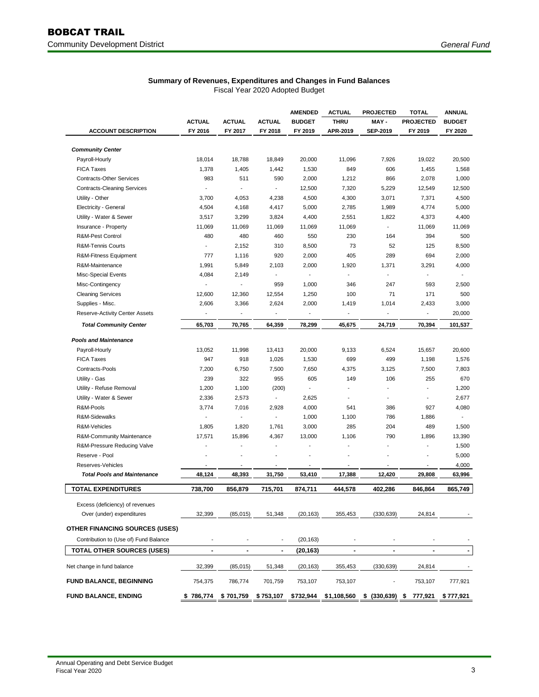|                                                         |                                    |                          | <b>AMENDED</b>                     | <b>ACTUAL</b>            | <b>PROJECTED</b>         | <b>TOTAL</b>                       | <b>ANNUAL</b>            |                          |
|---------------------------------------------------------|------------------------------------|--------------------------|------------------------------------|--------------------------|--------------------------|------------------------------------|--------------------------|--------------------------|
|                                                         | <b>ACTUAL</b>                      | <b>ACTUAL</b>            | <b>ACTUAL</b>                      | <b>BUDGET</b>            | <b>THRU</b>              | MAY-                               | <b>PROJECTED</b>         | <b>BUDGET</b>            |
| <b>ACCOUNT DESCRIPTION</b>                              | FY 2016                            | FY 2017                  | FY 2018                            | FY 2019                  | APR-2019                 | <b>SEP-2019</b>                    | FY 2019                  | FY 2020                  |
| <b>Community Center</b>                                 |                                    |                          |                                    |                          |                          |                                    |                          |                          |
| Payroll-Hourly                                          | 18,014                             | 18,788                   | 18,849                             | 20,000                   | 11,096                   | 7,926                              | 19,022                   | 20,500                   |
| <b>FICA Taxes</b>                                       | 1,378                              | 1,405                    | 1,442                              | 1,530                    | 849                      | 606                                | 1,455                    | 1,568                    |
| <b>Contracts-Other Services</b>                         | 983                                | 511                      | 590                                | 2,000                    | 1,212                    | 866                                | 2,078                    | 1,000                    |
|                                                         |                                    |                          | $\sim$                             |                          |                          |                                    |                          |                          |
| <b>Contracts-Cleaning Services</b>                      |                                    |                          |                                    | 12,500                   | 7,320                    | 5,229                              | 12,549                   | 12,500                   |
| Utility - Other                                         | 3,700                              | 4,053                    | 4,238                              | 4,500                    | 4,300                    | 3,071                              | 7,371                    | 4,500                    |
| Electricity - General                                   | 4,504                              | 4,168                    | 4,417                              | 5,000                    | 2,785                    | 1,989                              | 4,774                    | 5,000                    |
| Utility - Water & Sewer                                 | 3,517                              | 3,299                    | 3,824                              | 4,400                    | 2,551                    | 1,822                              | 4,373                    | 4,400                    |
| Insurance - Property                                    | 11,069                             | 11,069                   | 11,069                             | 11,069                   | 11,069                   | $\blacksquare$                     | 11,069                   | 11,069                   |
| R&M-Pest Control                                        | 480                                | 480                      | 460                                | 550                      | 230                      | 164                                | 394                      | 500                      |
| R&M-Tennis Courts                                       | $\overline{a}$                     | 2,152                    | 310                                | 8,500                    | 73                       | 52                                 | 125                      | 8,500                    |
| R&M-Fitness Equipment                                   | 777                                | 1,116                    | 920                                | 2,000                    | 405                      | 289                                | 694                      | 2,000                    |
| R&M-Maintenance                                         | 1,991                              | 5,849                    | 2,103                              | 2,000                    | 1,920                    | 1,371                              | 3,291                    | 4,000                    |
| Misc-Special Events                                     | 4,084                              | 2,149                    | $\overline{\phantom{a}}$           | $\overline{\phantom{a}}$ | $\overline{\phantom{a}}$ | $\overline{\phantom{a}}$           | $\frac{1}{2}$            |                          |
| Misc-Contingency                                        |                                    |                          | 959                                | 1,000                    | 346                      | 247                                | 593                      | 2,500                    |
| <b>Cleaning Services</b>                                | 12,600                             | 12,360                   | 12,554                             | 1,250                    | 100                      | 71                                 | 171                      | 500                      |
| Supplies - Misc.                                        | 2,606                              | 3,366                    | 2,624                              | 2,000                    | 1,419                    | 1,014                              | 2,433                    | 3,000                    |
| Reserve-Activity Center Assets                          |                                    | $\overline{a}$           | $\overline{\phantom{a}}$           | $\overline{\phantom{a}}$ |                          | $\overline{\phantom{a}}$           | $\overline{\phantom{a}}$ | 20,000                   |
| <b>Total Community Center</b>                           | 65,703                             | 70,765                   | 64,359                             | 78,299                   | 45,675                   | 24,719                             | 70,394                   | 101,537                  |
| <b>Pools and Maintenance</b>                            |                                    |                          |                                    |                          |                          |                                    |                          |                          |
| Payroll-Hourly                                          | 13,052                             | 11,998                   | 13,413                             | 20,000                   | 9,133                    | 6,524                              | 15,657                   | 20,600                   |
| <b>FICA Taxes</b>                                       | 947                                | 918                      | 1,026                              | 1,530                    | 699                      | 499                                | 1,198                    | 1,576                    |
| Contracts-Pools                                         | 7,200                              | 6,750                    | 7,500                              | 7,650                    | 4,375                    | 3,125                              | 7,500                    | 7,803                    |
| Utility - Gas                                           | 239                                | 322                      | 955                                | 605                      | 149                      | 106                                | 255                      | 670                      |
| Utility - Refuse Removal                                | 1,200                              | 1,100                    | (200)                              | $\blacksquare$           |                          | $\blacksquare$                     | $\blacksquare$           | 1,200                    |
| Utility - Water & Sewer                                 | 2,336                              | 2,573                    | $\overline{\phantom{a}}$           | 2,625                    |                          |                                    |                          | 2,677                    |
| R&M-Pools                                               | 3,774                              | 7,016                    | 2,928                              | 4,000                    | 541                      | 386                                | 927                      | 4,080                    |
| R&M-Sidewalks                                           |                                    |                          | $\overline{\phantom{a}}$           | 1,000                    | 1,100                    | 786                                | 1,886                    | $\overline{\phantom{a}}$ |
|                                                         |                                    |                          |                                    |                          | 285                      | 204                                |                          |                          |
| R&M-Vehicles                                            | 1,805                              | 1,820                    | 1,761                              | 3,000                    |                          |                                    | 489                      | 1,500                    |
| R&M-Community Maintenance                               | 17,571                             | 15,896                   | 4,367                              | 13,000                   | 1,106                    | 790                                | 1,896                    | 13,390                   |
| R&M-Pressure Reducing Valve                             |                                    |                          | $\overline{a}$                     | ÷,                       |                          |                                    |                          | 1,500                    |
| Reserve - Pool                                          |                                    |                          | $\blacksquare$                     | $\blacksquare$           |                          | $\blacksquare$                     |                          | 5,000                    |
| Reserves-Vehicles<br><b>Total Pools and Maintenance</b> | $\overline{\phantom{m}}$<br>48,124 | $\overline{a}$<br>48,393 | $\overline{\phantom{a}}$<br>31,750 | $\blacksquare$<br>53,410 | $\overline{a}$<br>17,388 | $\overline{\phantom{a}}$<br>12,420 | $\overline{a}$<br>29,808 | 4,000<br>63,996          |
|                                                         |                                    |                          |                                    |                          |                          |                                    |                          |                          |
| <b>TOTAL EXPENDITURES</b>                               | 738,700                            | 856,879                  | 715,701                            | 874,711                  | 444,578                  | 402,286                            | 846,864                  | 865,749                  |
| Excess (deficiency) of revenues                         |                                    |                          |                                    |                          |                          |                                    |                          |                          |
| Over (under) expenditures                               | 32,399                             | (85,015)                 | 51,348                             | (20, 163)                | 355,453                  | (330, 639)                         | 24,814                   |                          |
| <b>OTHER FINANCING SOURCES (USES)</b>                   |                                    |                          |                                    |                          |                          |                                    |                          |                          |
| Contribution to (Use of) Fund Balance                   | $\overline{a}$                     | $\overline{\phantom{a}}$ |                                    | (20, 163)                |                          |                                    |                          |                          |
| TOTAL OTHER SOURCES (USES)                              | $\blacksquare$                     |                          | $\blacksquare$                     | (20, 163)                | $\blacksquare$           | $\blacksquare$                     | $\blacksquare$           | $\blacksquare$           |
| Net change in fund balance                              | 32,399                             | (85, 015)                | 51,348                             | (20, 163)                | 355,453                  | (330, 639)                         | 24,814                   |                          |
| <b>FUND BALANCE, BEGINNING</b>                          | 754,375                            | 786,774                  | 701,759                            | 753,107                  | 753,107                  |                                    | 753,107                  | 777,921                  |
| <b>FUND BALANCE, ENDING</b>                             | \$786,774                          | \$701,759                | \$ 753,107                         | \$732,944                | \$1,108,560              | \$ (330,639) \$ 777,921            |                          | \$777,921                |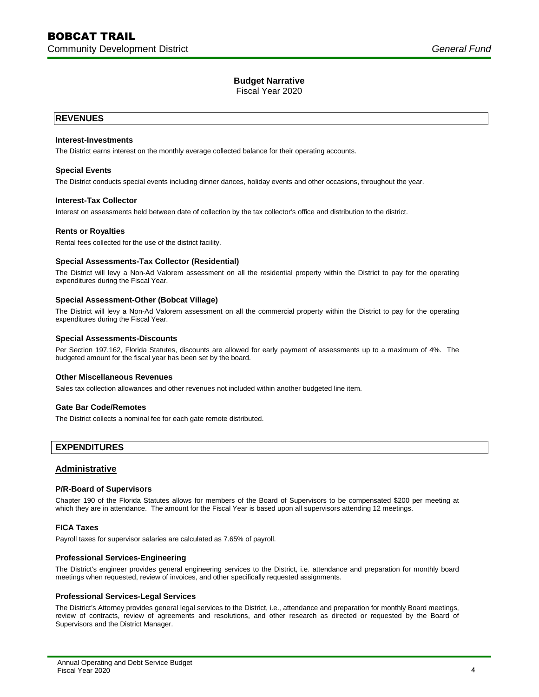Fiscal Year 2020

## **REVENUES**

## **Interest-Investments**

The District earns interest on the monthly average collected balance for their operating accounts.

## **Special Events**

The District conducts special events including dinner dances, holiday events and other occasions, throughout the year.

## **Interest-Tax Collector**

Interest on assessments held between date of collection by the tax collector's office and distribution to the district.

#### **Rents or Royalties**

Rental fees collected for the use of the district facility.

#### **Special Assessments-Tax Collector (Residential)**

The District will levy a Non-Ad Valorem assessment on all the residential property within the District to pay for the operating expenditures during the Fiscal Year.

## **Special Assessment-Other (Bobcat Village)**

The District will levy a Non-Ad Valorem assessment on all the commercial property within the District to pay for the operating expenditures during the Fiscal Year.

#### **Special Assessments-Discounts**

Per Section 197.162, Florida Statutes, discounts are allowed for early payment of assessments up to a maximum of 4%. The budgeted amount for the fiscal year has been set by the board.

#### **Other Miscellaneous Revenues**

Sales tax collection allowances and other revenues not included within another budgeted line item.

#### **Gate Bar Code/Remotes**

The District collects a nominal fee for each gate remote distributed.

## **EXPENDITURES**

## **Administrative**

## **P/R-Board of Supervisors**

Chapter 190 of the Florida Statutes allows for members of the Board of Supervisors to be compensated \$200 per meeting at which they are in attendance. The amount for the Fiscal Year is based upon all supervisors attending 12 meetings.

## **FICA Taxes**

Payroll taxes for supervisor salaries are calculated as 7.65% of payroll.

## **Professional Services-Engineering**

The District's engineer provides general engineering services to the District, i.e. attendance and preparation for monthly board meetings when requested, review of invoices, and other specifically requested assignments.

#### **Professional Services-Legal Services**

The District's Attorney provides general legal services to the District, i.e., attendance and preparation for monthly Board meetings, review of contracts, review of agreements and resolutions, and other research as directed or requested by the Board of Supervisors and the District Manager.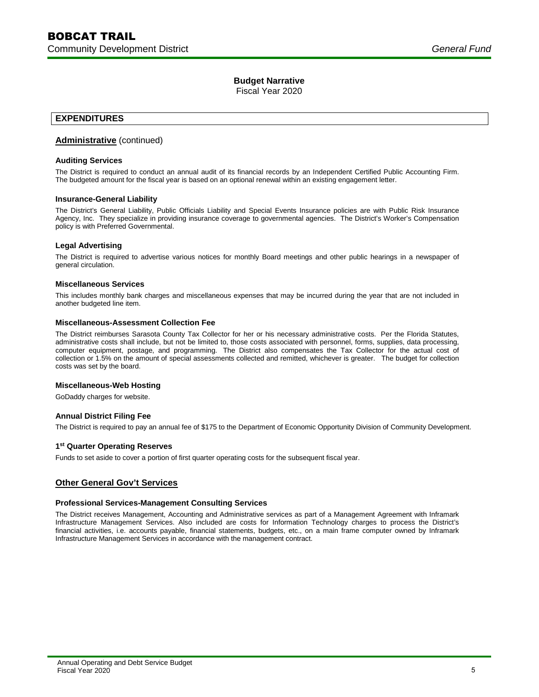Fiscal Year 2020

## **EXPENDITURES**

## **Administrative** (continued)

## **Auditing Services**

The District is required to conduct an annual audit of its financial records by an Independent Certified Public Accounting Firm. The budgeted amount for the fiscal year is based on an optional renewal within an existing engagement letter.

#### **Insurance-General Liability**

The District's General Liability, Public Officials Liability and Special Events Insurance policies are with Public Risk Insurance Agency, Inc. They specialize in providing insurance coverage to governmental agencies. The District's Worker's Compensation policy is with Preferred Governmental.

## **Legal Advertising**

The District is required to advertise various notices for monthly Board meetings and other public hearings in a newspaper of general circulation.

## **Miscellaneous Services**

This includes monthly bank charges and miscellaneous expenses that may be incurred during the year that are not included in another budgeted line item.

## **Miscellaneous-Assessment Collection Fee**

The District reimburses Sarasota County Tax Collector for her or his necessary administrative costs. Per the Florida Statutes, administrative costs shall include, but not be limited to, those costs associated with personnel, forms, supplies, data processing, computer equipment, postage, and programming. The District also compensates the Tax Collector for the actual cost of collection or 1.5% on the amount of special assessments collected and remitted, whichever is greater. The budget for collection costs was set by the board.

## **Miscellaneous-Web Hosting**

GoDaddy charges for website.

## **Annual District Filing Fee**

The District is required to pay an annual fee of \$175 to the Department of Economic Opportunity Division of Community Development.

## **1 st Quarter Operating Reserves**

Funds to set aside to cover a portion of first quarter operating costs for the subsequent fiscal year.

## **Other General Gov't Services**

#### **Professional Services-Management Consulting Services**

The District receives Management, Accounting and Administrative services as part of a Management Agreement with Inframark Infrastructure Management Services. Also included are costs for Information Technology charges to process the District's financial activities, i.e. accounts payable, financial statements, budgets, etc., on a main frame computer owned by Inframark Infrastructure Management Services in accordance with the management contract.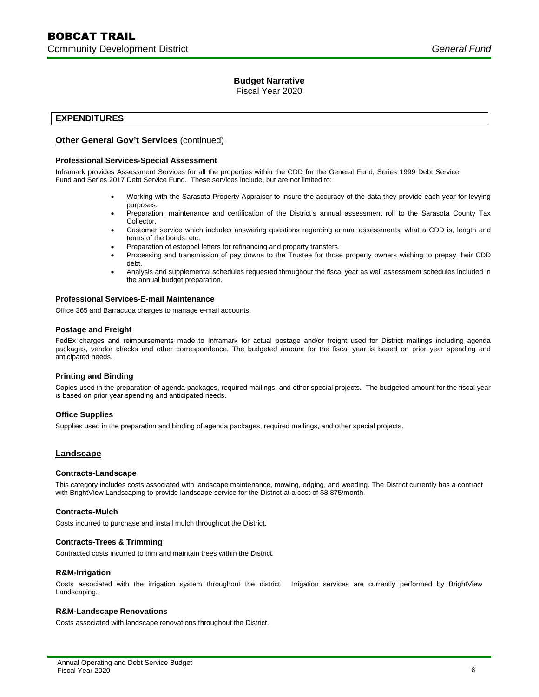Fiscal Year 2020

## **EXPENDITURES**

## **Other General Gov't Services** (continued)

## **Professional Services-Special Assessment**

Inframark provides Assessment Services for all the properties within the CDD for the General Fund, Series 1999 Debt Service Fund and Series 2017 Debt Service Fund. These services include, but are not limited to:

- Working with the Sarasota Property Appraiser to insure the accuracy of the data they provide each year for levying purposes.
- Preparation, maintenance and certification of the District's annual assessment roll to the Sarasota County Tax Collector.
- Customer service which includes answering questions regarding annual assessments, what a CDD is, length and terms of the bonds, etc.
- Preparation of estoppel letters for refinancing and property transfers.
- Processing and transmission of pay downs to the Trustee for those property owners wishing to prepay their CDD debt.
- Analysis and supplemental schedules requested throughout the fiscal year as well assessment schedules included in the annual budget preparation.

## **Professional Services-E-mail Maintenance**

Office 365 and Barracuda charges to manage e-mail accounts.

## **Postage and Freight**

FedEx charges and reimbursements made to Inframark for actual postage and/or freight used for District mailings including agenda packages, vendor checks and other correspondence. The budgeted amount for the fiscal year is based on prior year spending and anticipated needs.

## **Printing and Binding**

Copies used in the preparation of agenda packages, required mailings, and other special projects. The budgeted amount for the fiscal year is based on prior year spending and anticipated needs.

## **Office Supplies**

Supplies used in the preparation and binding of agenda packages, required mailings, and other special projects.

## **Landscape**

#### **Contracts-Landscape**

This category includes costs associated with landscape maintenance, mowing, edging, and weeding. The District currently has a contract with BrightView Landscaping to provide landscape service for the District at a cost of \$8,875/month.

#### **Contracts-Mulch**

Costs incurred to purchase and install mulch throughout the District.

## **Contracts-Trees & Trimming**

Contracted costs incurred to trim and maintain trees within the District.

#### **R&M-Irrigation**

Costs associated with the irrigation system throughout the district. Irrigation services are currently performed by BrightView Landscaping.

#### **R&M-Landscape Renovations**

Costs associated with landscape renovations throughout the District.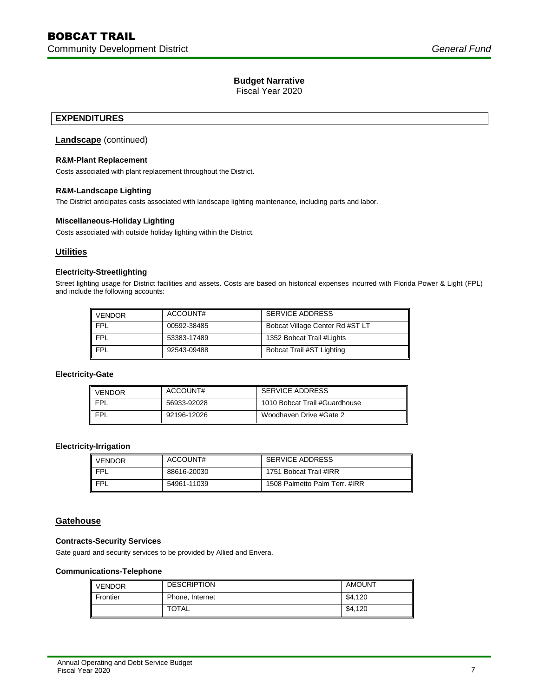Fiscal Year 2020

## **EXPENDITURES**

## **Landscape** (continued)

## **R&M-Plant Replacement**

Costs associated with plant replacement throughout the District.

## **R&M-Landscape Lighting**

The District anticipates costs associated with landscape lighting maintenance, including parts and labor.

## **Miscellaneous-Holiday Lighting**

Costs associated with outside holiday lighting within the District.

## **Utilities**

## **Electricity-Streetlighting**

Street lighting usage for District facilities and assets. Costs are based on historical expenses incurred with Florida Power & Light (FPL) and include the following accounts:

| <b>VENDOR</b> | ACCOUNT#    | SERVICE ADDRESS                 |
|---------------|-------------|---------------------------------|
| <b>FPL</b>    | 00592-38485 | Bobcat Village Center Rd #ST LT |
| <b>FPL</b>    | 53383-17489 | 1352 Bobcat Trail #Lights       |
| <b>FPL</b>    | 92543-09488 | Bobcat Trail #ST Lighting       |

## **Electricity-Gate**

| <b>VENDOR</b> | ACCOUNT#    | <b>SERVICE ADDRESS</b>        |
|---------------|-------------|-------------------------------|
| <b>FPL</b>    | 56933-92028 | 1010 Bobcat Trail #Guardhouse |
| <b>FPL</b>    | 92196-12026 | Woodhaven Drive #Gate 2       |

## **Electricity-Irrigation**

| <b>VENDOR</b> | ACCOUNT#    | <b>SERVICE ADDRESS</b>        |
|---------------|-------------|-------------------------------|
| <b>FPI</b>    | 88616-20030 | 1751 Bobcat Trail #IRR        |
| <b>FPI</b>    | 54961-11039 | 1508 Palmetto Palm Terr. #IRR |

## **Gatehouse**

#### **Contracts-Security Services**

Gate guard and security services to be provided by Allied and Envera.

#### **Communications-Telephone**

| <b>VENDOR</b> | <b>DESCRIPTION</b> | <b>AMOUNT</b> |
|---------------|--------------------|---------------|
| Frontier      | Phone, Internet    | \$4,120       |
|               | <b>TOTAL</b>       | \$4,120       |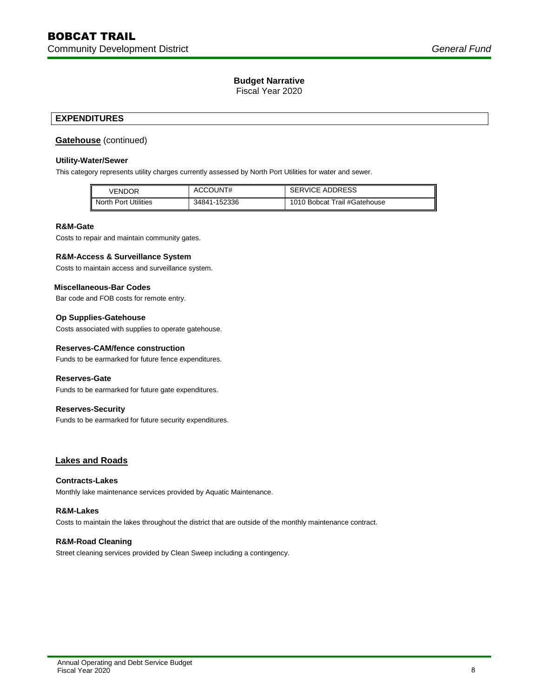Fiscal Year 2020

## **EXPENDITURES**

## **Gatehouse** (continued)

## **Utility-Water/Sewer**

This category represents utility charges currently assessed by North Port Utilities for water and sewer.

| VENDOR               | ACCOUNT#     | <b>SERVICE ADDRESS</b>       |
|----------------------|--------------|------------------------------|
| North Port Utilities | 34841-152336 | 1010 Bobcat Trail #Gatehouse |

#### **R&M-Gate**

Costs to repair and maintain community gates.

## **R&M-Access & Surveillance System**

Costs to maintain access and surveillance system.

## **Miscellaneous-Bar Codes**

Bar code and FOB costs for remote entry.

## **Op Supplies-Gatehouse**

Costs associated with supplies to operate gatehouse.

## **Reserves-CAM/fence construction**

Funds to be earmarked for future fence expenditures.

#### **Reserves-Gate**

Funds to be earmarked for future gate expenditures.

## **Reserves-Security**

Funds to be earmarked for future security expenditures.

## **Lakes and Roads**

#### **Contracts-Lakes**

Monthly lake maintenance services provided by Aquatic Maintenance.

#### **R&M-Lakes**

Costs to maintain the lakes throughout the district that are outside of the monthly maintenance contract.

## **R&M-Road Cleaning**

Street cleaning services provided by Clean Sweep including a contingency.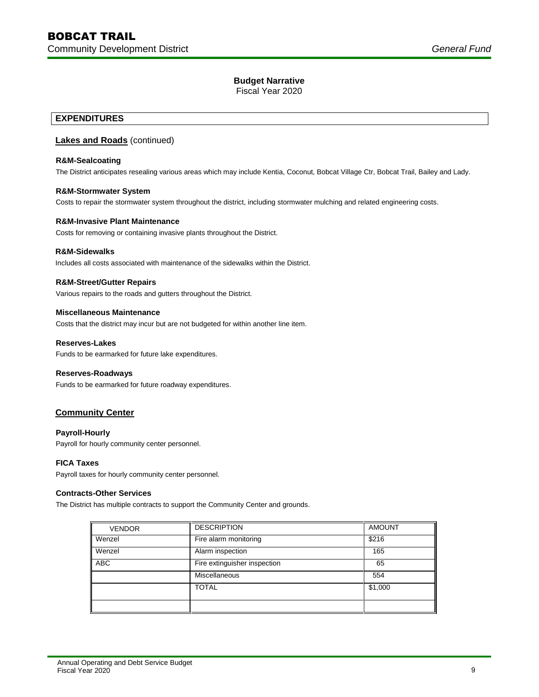Fiscal Year 2020

## **EXPENDITURES**

## **Lakes and Roads** (continued)

## **R&M-Sealcoating**

The District anticipates resealing various areas which may include Kentia, Coconut, Bobcat Village Ctr, Bobcat Trail, Bailey and Lady.

## **R&M-Stormwater System**

Costs to repair the stormwater system throughout the district, including stormwater mulching and related engineering costs.

## **R&M-Invasive Plant Maintenance**

Costs for removing or containing invasive plants throughout the District.

## **R&M-Sidewalks**

Includes all costs associated with maintenance of the sidewalks within the District.

## **R&M-Street/Gutter Repairs**

Various repairs to the roads and gutters throughout the District.

## **Miscellaneous Maintenance**

Costs that the district may incur but are not budgeted for within another line item.

## **Reserves-Lakes**

Funds to be earmarked for future lake expenditures.

#### **Reserves-Roadways**

Funds to be earmarked for future roadway expenditures.

## **Community Center**

## **Payroll-Hourly**

Payroll for hourly community center personnel.

#### **FICA Taxes**

Payroll taxes for hourly community center personnel.

## **Contracts-Other Services**

The District has multiple contracts to support the Community Center and grounds.

| <b>VENDOR</b> | <b>DESCRIPTION</b>           | <b>AMOUNT</b> |
|---------------|------------------------------|---------------|
| Wenzel        | Fire alarm monitoring        | \$216         |
| Wenzel        | Alarm inspection             | 165           |
| <b>ABC</b>    | Fire extinguisher inspection | 65            |
|               | <b>Miscellaneous</b>         | 554           |
|               | <b>TOTAL</b>                 | \$1,000       |
|               |                              |               |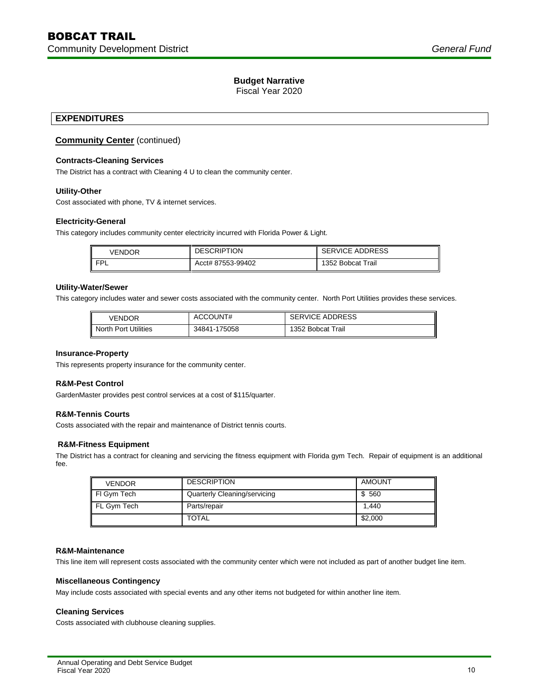Fiscal Year 2020

## **EXPENDITURES**

## **Community Center** (continued)

## **Contracts-Cleaning Services**

The District has a contract with Cleaning 4 U to clean the community center.

## **Utility-Other**

Cost associated with phone, TV & internet services.

#### **Electricity-General**

This category includes community center electricity incurred with Florida Power & Light.

| VENDOR | <b>DESCRIPTION</b> | <b>SERVICE ADDRESS</b> |  |  |
|--------|--------------------|------------------------|--|--|
| ᄗ      | Acct# 87553-99402  | 1352 Bobcat Trail      |  |  |

## **Utility-Water/Sewer**

This category includes water and sewer costs associated with the community center. North Port Utilities provides these services.

| VENDOR               | ACCOUNT#     | <b>SERVICE ADDRESS</b> |  |  |
|----------------------|--------------|------------------------|--|--|
| North Port Utilities | 34841-175058 | 1352 Bobcat Trail      |  |  |

#### **Insurance-Property**

This represents property insurance for the community center.

## **R&M-Pest Control**

GardenMaster provides pest control services at a cost of \$115/quarter.

## **R&M-Tennis Courts**

Costs associated with the repair and maintenance of District tennis courts.

## **R&M-Fitness Equipment**

The District has a contract for cleaning and servicing the fitness equipment with Florida gym Tech. Repair of equipment is an additional fee.

| <b>VENDOR</b> | <b>DESCRIPTION</b>           | <b>AMOUNT</b> |
|---------------|------------------------------|---------------|
| FI Gym Tech   | Quarterly Cleaning/servicing | \$ 560        |
| FL Gym Tech   | Parts/repair                 | 1.440         |
|               | <b>TOTAL</b>                 | \$2,000       |

## **R&M-Maintenance**

This line item will represent costs associated with the community center which were not included as part of another budget line item.

## **Miscellaneous Contingency**

May include costs associated with special events and any other items not budgeted for within another line item.

#### **Cleaning Services**

Costs associated with clubhouse cleaning supplies.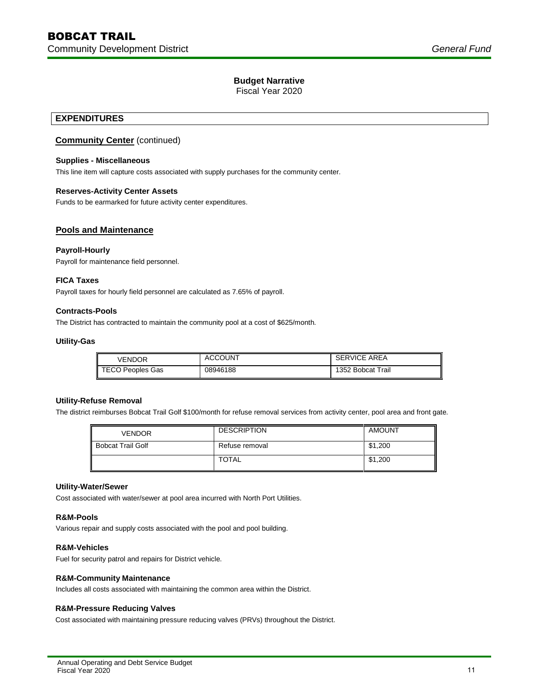Fiscal Year 2020

## **EXPENDITURES**

## **Community Center** (continued)

## **Supplies - Miscellaneous**

This line item will capture costs associated with supply purchases for the community center.

## **Reserves-Activity Center Assets**

Funds to be earmarked for future activity center expenditures.

## **Pools and Maintenance**

## **Payroll-Hourly**

Payroll for maintenance field personnel.

## **FICA Taxes**

Payroll taxes for hourly field personnel are calculated as 7.65% of payroll.

## **Contracts-Pools**

The District has contracted to maintain the community pool at a cost of \$625/month.

## **Utility-Gas**

| VENDOR                  | <b>ACCOUNT</b> | <b>SERVICE AREA</b> |
|-------------------------|----------------|---------------------|
| <b>TECO Peoples Gas</b> | 08946188       | 1352 Bobcat Trail   |

## **Utility-Refuse Removal**

The district reimburses Bobcat Trail Golf \$100/month for refuse removal services from activity center, pool area and front gate.

| <b>VENDOR</b>            | <b>DESCRIPTION</b> | <b>AMOUNT</b> |
|--------------------------|--------------------|---------------|
| <b>Bobcat Trail Golf</b> | Refuse removal     | \$1,200       |
|                          | <b>TOTAL</b>       | \$1,200       |

## **Utility-Water/Sewer**

Cost associated with water/sewer at pool area incurred with North Port Utilities.

#### **R&M-Pools**

Various repair and supply costs associated with the pool and pool building.

## **R&M-Vehicles**

Fuel for security patrol and repairs for District vehicle.

## **R&M-Community Maintenance**

Includes all costs associated with maintaining the common area within the District.

## **R&M-Pressure Reducing Valves**

Cost associated with maintaining pressure reducing valves (PRVs) throughout the District.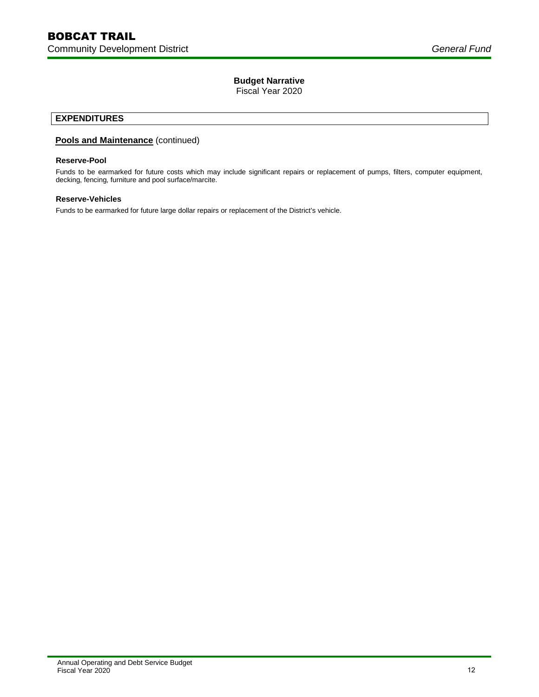Fiscal Year 2020

## **EXPENDITURES**

## **Pools and Maintenance** (continued)

## **Reserve-Pool**

Funds to be earmarked for future costs which may include significant repairs or replacement of pumps, filters, computer equipment, decking, fencing, furniture and pool surface/marcite.

## **Reserve-Vehicles**

Funds to be earmarked for future large dollar repairs or replacement of the District's vehicle.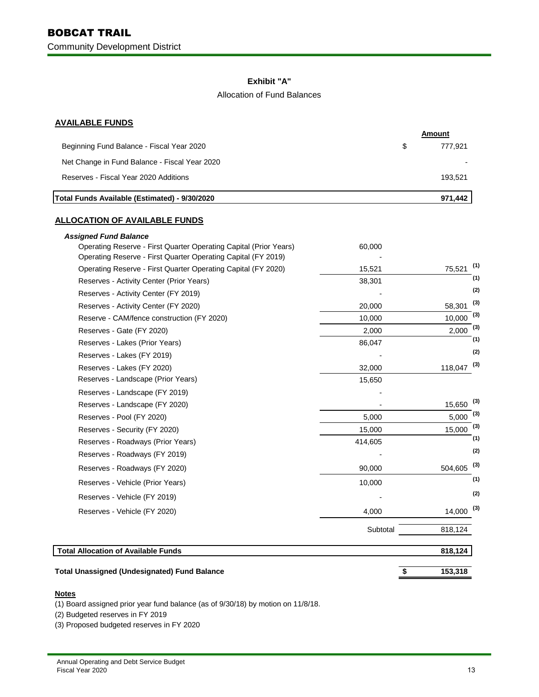## **Exhibit "A"**

## Allocation of Fund Balances

## **AVAILABLE FUNDS**

| Total Funds Available (Estimated) - 9/30/2020 |   | 971.442 |
|-----------------------------------------------|---|---------|
| Reserves - Fiscal Year 2020 Additions         |   | 193.521 |
| Net Change in Fund Balance - Fiscal Year 2020 |   |         |
| Beginning Fund Balance - Fiscal Year 2020     | S | 777.921 |
|                                               |   | Amount  |

## **ALLOCATION OF AVAILABLE FUNDS**

| <b>Total Unassigned (Undesignated) Fund Balance</b>                                               | \$       | 153,318         |
|---------------------------------------------------------------------------------------------------|----------|-----------------|
| <b>Total Allocation of Available Funds</b>                                                        |          | 818,124         |
|                                                                                                   | Subtotal | 818,124         |
| Reserves - Vehicle (FY 2020)                                                                      | 4,000    | 14,000          |
| Reserves - Vehicle (FY 2019)                                                                      |          |                 |
| Reserves - Vehicle (Prior Years)                                                                  | 10,000   |                 |
| Reserves - Roadways (FY 2020)                                                                     | 90,000   | 504,605         |
|                                                                                                   |          |                 |
| Reserves - Roadways (FY 2019)                                                                     |          |                 |
| Reserves - Security (FY 2020)<br>Reserves - Roadways (Prior Years)                                | 414,605  |                 |
| Reserves - Pool (FY 2020)                                                                         | 15,000   | 15,000          |
| Reserves - Landscape (FY 2020)                                                                    | 5.000    | 15,650<br>5,000 |
| Reserves - Landscape (FY 2019)                                                                    |          |                 |
| Reserves - Landscape (Prior Years)                                                                | 15,650   |                 |
| Reserves - Lakes (FY 2020)                                                                        | 32,000   | 118,047         |
| Reserves - Lakes (FY 2019)                                                                        |          |                 |
| Reserves - Lakes (Prior Years)                                                                    | 86,047   |                 |
| Reserves - Gate (FY 2020)                                                                         | 2,000    | 2,000           |
| Reserve - CAM/fence construction (FY 2020)                                                        | 10,000   | 10,000          |
| Reserves - Activity Center (FY 2020)                                                              | 20,000   | 58,301          |
| Reserves - Activity Center (FY 2019)                                                              |          |                 |
| Reserves - Activity Center (Prior Years)                                                          | 38,301   |                 |
| Operating Reserve - First Quarter Operating Capital (FY 2020)                                     | 15,521   | 75,521          |
| Operating Reserve - First Quarter Operating Capital (FY 2019)                                     |          |                 |
| <b>Assigned Fund Balance</b><br>Operating Reserve - First Quarter Operating Capital (Prior Years) | 60,000   |                 |

## **Notes**

(1) Board assigned prior year fund balance (as of 9/30/18) by motion on 11/8/18.

(2) Budgeted reserves in FY 2019

(3) Proposed budgeted reserves in FY 2020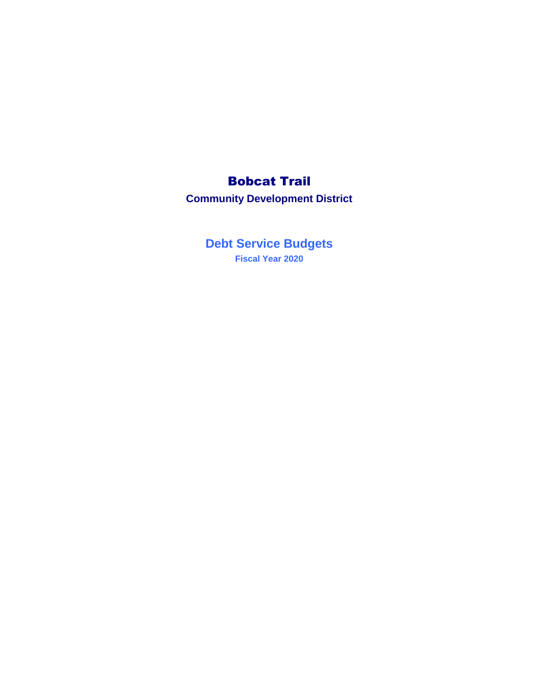# Bobcat Trail

**Community Development District**

**Debt Service Budgets Fiscal Year 2020**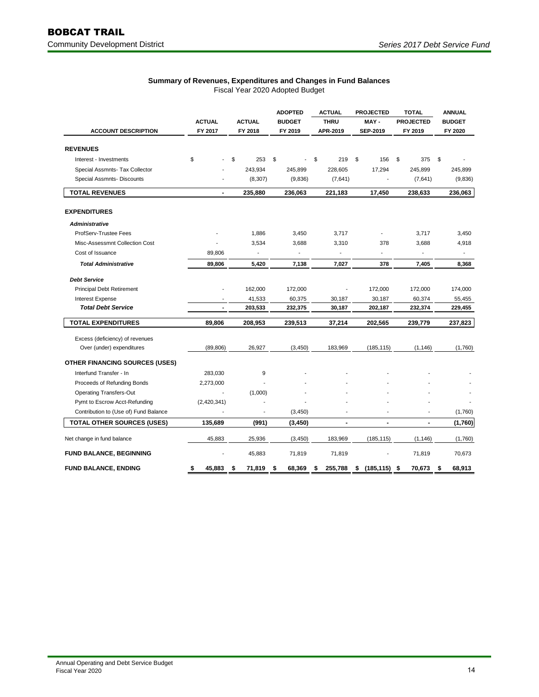|                                       |                          |                          | <b>ADOPTED</b>           | <b>ACTUAL</b>           | <b>PROJECTED</b>        | <b>TOTAL</b>                | <b>ANNUAL</b>            |
|---------------------------------------|--------------------------|--------------------------|--------------------------|-------------------------|-------------------------|-----------------------------|--------------------------|
| <b>ACCOUNT DESCRIPTION</b>            | <b>ACTUAL</b><br>FY 2017 | <b>ACTUAL</b><br>FY 2018 | <b>BUDGET</b><br>FY 2019 | <b>THRU</b><br>APR-2019 | MAY-<br><b>SEP-2019</b> | <b>PROJECTED</b><br>FY 2019 | <b>BUDGET</b><br>FY 2020 |
|                                       |                          |                          |                          |                         |                         |                             |                          |
| <b>REVENUES</b>                       |                          |                          |                          |                         |                         |                             |                          |
| Interest - Investments                | \$                       | \$<br>253                | \$                       | \$<br>219               | \$<br>156               | 375<br>\$                   | \$                       |
| Special Assmnts- Tax Collector        |                          | 243,934                  | 245,899                  | 228,605                 | 17,294                  | 245,899                     | 245,899                  |
| Special Assmnts- Discounts            |                          | (8, 307)                 | (9,836)                  | (7,641)                 |                         | (7,641)                     | (9,836)                  |
| <b>TOTAL REVENUES</b>                 | $\blacksquare$           | 235,880                  | 236,063                  | 221,183                 | 17,450                  | 238,633                     | 236,063                  |
| <b>EXPENDITURES</b>                   |                          |                          |                          |                         |                         |                             |                          |
| <b>Administrative</b>                 |                          |                          |                          |                         |                         |                             |                          |
| ProfServ-Trustee Fees                 |                          | 1,886                    | 3,450                    | 3,717                   |                         | 3,717                       | 3,450                    |
| Misc-Assessmnt Collection Cost        |                          | 3,534                    | 3,688                    | 3,310                   | 378                     | 3,688                       | 4,918                    |
| Cost of Issuance                      | 89,806                   | $\overline{a}$           |                          |                         |                         |                             | $\overline{a}$           |
| <b>Total Administrative</b>           | 89,806                   | 5,420                    | 7,138                    | 7,027                   | 378                     | 7,405                       | 8,368                    |
| <b>Debt Service</b>                   |                          |                          |                          |                         |                         |                             |                          |
| Principal Debt Retirement             |                          | 162,000                  | 172,000                  |                         | 172,000                 | 172,000                     | 174,000                  |
| Interest Expense                      |                          | 41,533                   | 60,375                   | 30,187                  | 30,187                  | 60,374                      | 55,455                   |
| <b>Total Debt Service</b>             |                          | 203,533                  | 232,375                  | 30,187                  | 202,187                 | 232,374                     | 229,455                  |
| <b>TOTAL EXPENDITURES</b>             | 89.806                   | 208,953                  | 239,513                  | 37,214                  | 202,565                 | 239,779                     | 237,823                  |
| Excess (deficiency) of revenues       |                          |                          |                          |                         |                         |                             |                          |
| Over (under) expenditures             | (89, 806)                | 26,927                   | (3, 450)                 | 183,969                 | (185, 115)              | (1, 146)                    | (1,760)                  |
| <b>OTHER FINANCING SOURCES (USES)</b> |                          |                          |                          |                         |                         |                             |                          |
| Interfund Transfer - In               | 283,030                  | 9                        |                          |                         |                         |                             |                          |
| Proceeds of Refunding Bonds           | 2,273,000                |                          |                          |                         |                         |                             |                          |
| <b>Operating Transfers-Out</b>        |                          | (1,000)                  |                          |                         |                         |                             |                          |
| Pymt to Escrow Acct-Refunding         | (2,420,341)              |                          |                          |                         |                         |                             |                          |
| Contribution to (Use of) Fund Balance |                          | ä,                       | (3, 450)                 |                         | ٠                       | $\blacksquare$              | (1,760)                  |
| <b>TOTAL OTHER SOURCES (USES)</b>     | 135,689                  | (991)                    | (3, 450)                 | $\overline{a}$          | $\overline{a}$          | $\blacksquare$              | (1,760)                  |
| Net change in fund balance            | 45,883                   | 25,936                   | (3, 450)                 | 183,969                 | (185, 115)              | (1, 146)                    | (1,760)                  |
| <b>FUND BALANCE, BEGINNING</b>        |                          | 45,883                   | 71,819                   | 71,819                  |                         | 71,819                      | 70,673                   |
| <b>FUND BALANCE, ENDING</b>           | \$<br>45,883             | 71,819<br>\$             | 68,369<br>\$             | \$<br>255,788           | \$<br>(185, 115)        | 70,673<br>-\$               | 68,913<br>\$             |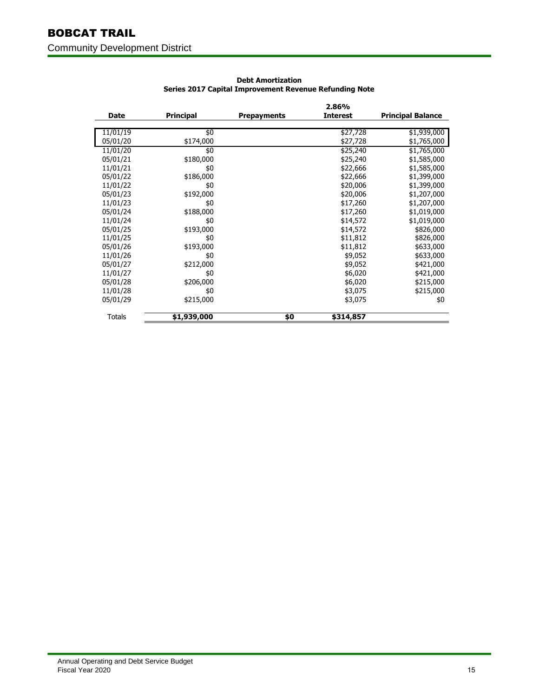## BOBCAT TRAIL Community Development District

|          |                  |                    | 2.86%           |                          |
|----------|------------------|--------------------|-----------------|--------------------------|
| Date     | <b>Principal</b> | <b>Prepayments</b> | <b>Interest</b> | <b>Principal Balance</b> |
|          |                  |                    |                 |                          |
| 11/01/19 | \$0              |                    | \$27,728        | \$1,939,000              |
| 05/01/20 | \$174,000        |                    | \$27,728        | \$1,765,000              |
| 11/01/20 | \$0              |                    | \$25,240        | \$1,765,000              |
| 05/01/21 | \$180,000        |                    | \$25,240        | \$1,585,000              |
| 11/01/21 | \$0              |                    | \$22,666        | \$1,585,000              |
| 05/01/22 | \$186,000        |                    | \$22,666        | \$1,399,000              |
| 11/01/22 | \$0              |                    | \$20,006        | \$1,399,000              |
| 05/01/23 | \$192,000        |                    | \$20,006        | \$1,207,000              |
| 11/01/23 | \$0              |                    | \$17,260        | \$1,207,000              |
| 05/01/24 | \$188,000        |                    | \$17,260        | \$1,019,000              |
| 11/01/24 | \$0              |                    | \$14,572        | \$1,019,000              |
| 05/01/25 | \$193,000        |                    | \$14,572        | \$826,000                |
| 11/01/25 | \$0              |                    | \$11,812        | \$826,000                |
| 05/01/26 | \$193,000        |                    | \$11,812        | \$633,000                |
| 11/01/26 | \$0              |                    | \$9,052         | \$633,000                |
| 05/01/27 | \$212,000        |                    | \$9,052         | \$421,000                |
| 11/01/27 | \$0              |                    | \$6,020         | \$421,000                |
| 05/01/28 | \$206,000        |                    | \$6,020         | \$215,000                |
| 11/01/28 | \$0              |                    | \$3,075         | \$215,000                |
| 05/01/29 | \$215,000        |                    | \$3,075         | \$0                      |
|          |                  |                    |                 |                          |
| Totals   | \$1,939,000      | \$0                | \$314,857       |                          |
|          |                  |                    |                 |                          |

## **Debt Amortization Series 2017 Capital Improvement Revenue Refunding Note**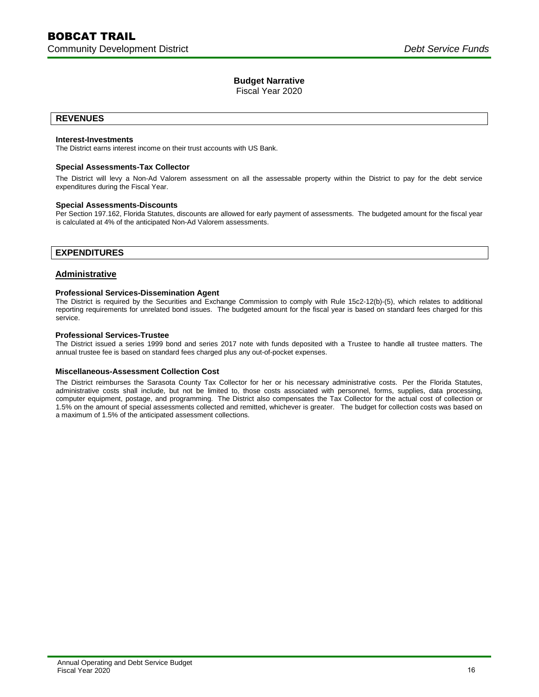Fiscal Year 2020

## **REVENUES**

## **Interest-Investments**

The District earns interest income on their trust accounts with US Bank.

## **Special Assessments-Tax Collector**

The District will levy a Non-Ad Valorem assessment on all the assessable property within the District to pay for the debt service expenditures during the Fiscal Year.

#### **Special Assessments-Discounts**

Per Section 197.162, Florida Statutes, discounts are allowed for early payment of assessments. The budgeted amount for the fiscal year is calculated at 4% of the anticipated Non-Ad Valorem assessments.

## **EXPENDITURES**

## **Administrative**

## **Professional Services-Dissemination Agent**

The District is required by the Securities and Exchange Commission to comply with Rule 15c2-12(b)-(5), which relates to additional reporting requirements for unrelated bond issues. The budgeted amount for the fiscal year is based on standard fees charged for this service.

#### **Professional Services-Trustee**

The District issued a series 1999 bond and series 2017 note with funds deposited with a Trustee to handle all trustee matters. The annual trustee fee is based on standard fees charged plus any out-of-pocket expenses.

#### **Miscellaneous-Assessment Collection Cost**

The District reimburses the Sarasota County Tax Collector for her or his necessary administrative costs. Per the Florida Statutes, administrative costs shall include, but not be limited to, those costs associated with personnel, forms, supplies, data processing, computer equipment, postage, and programming. The District also compensates the Tax Collector for the actual cost of collection or 1.5% on the amount of special assessments collected and remitted, whichever is greater. The budget for collection costs was based on a maximum of 1.5% of the anticipated assessment collections.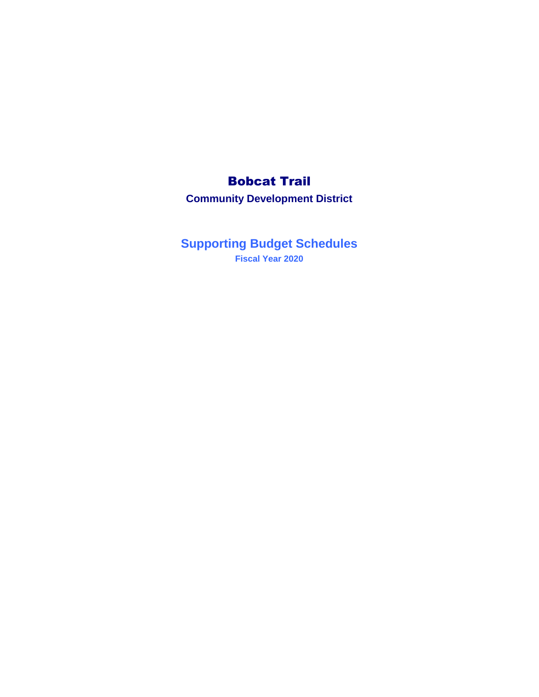# Bobcat Trail

**Community Development District**

**Supporting Budget Schedules Fiscal Year 2020**